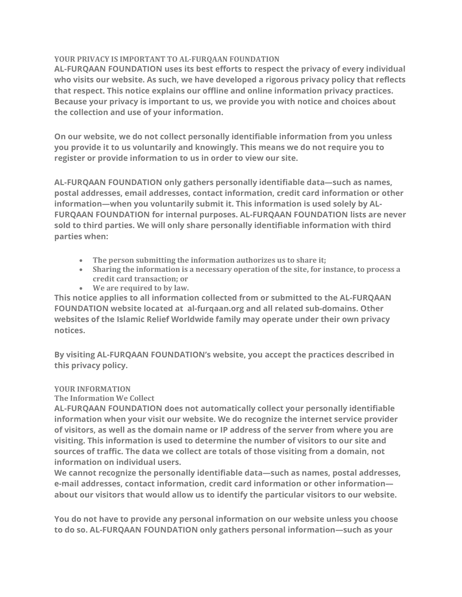## YOUR PRIVACY IS IMPORTANT TO AL-FURQAAN FOUNDATION

AL-FURQAAN FOUNDATION uses its best efforts to respect the privacy of every individual who visits our website. As such, we have developed a rigorous privacy policy that reflects that respect. This notice explains our offline and online information privacy practices. Because your privacy is important to us, we provide you with notice and choices about the collection and use of your information.

On our website, we do not collect personally identifiable information from you unless you provide it to us voluntarily and knowingly. This means we do not require you to register or provide information to us in order to view our site.

AL-FURQAAN FOUNDATION only gathers personally identifiable data—such as names, postal addresses, email addresses, contact information, credit card information or other information—when you voluntarily submit it. This information is used solely by AL-FURQAAN FOUNDATION for internal purposes. AL-FURQAAN FOUNDATION lists are never sold to third parties. We will only share personally identifiable information with third parties when:

- The person submitting the information authorizes us to share it;
- Sharing the information is a necessary operation of the site, for instance, to process a credit card transaction; or
- We are required to by law.

This notice applies to all information collected from or submitted to the AL-FURQAAN FOUNDATION website located at al-furqaan.org and all related sub-domains. Other websites of the Islamic Relief Worldwide family may operate under their own privacy notices.

By visiting AL-FURQAAN FOUNDATION's website, you accept the practices described in this privacy policy.

## YOUR INFORMATION

# The Information We Collect

AL-FURQAAN FOUNDATION does not automatically collect your personally identifiable information when your visit our website. We do recognize the internet service provider of visitors, as well as the domain name or IP address of the server from where you are visiting. This information is used to determine the number of visitors to our site and sources of traffic. The data we collect are totals of those visiting from a domain, not information on individual users.

We cannot recognize the personally identifiable data—such as names, postal addresses, e-mail addresses, contact information, credit card information or other information about our visitors that would allow us to identify the particular visitors to our website.

You do not have to provide any personal information on our website unless you choose to do so. AL-FURQAAN FOUNDATION only gathers personal information—such as your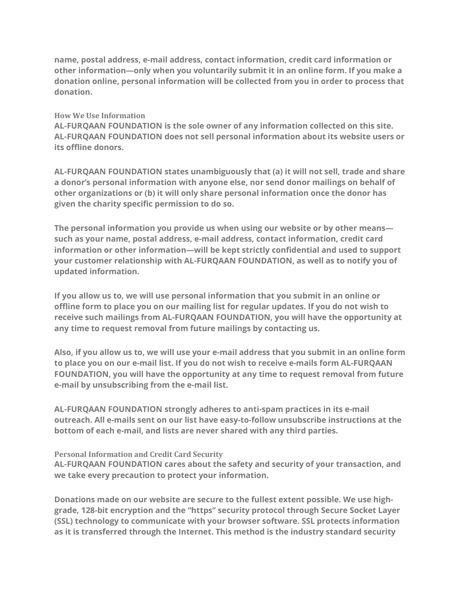name, postal address, e-mail address, contact information, credit card information or other information—only when you voluntarily submit it in an online form. If you make a donation online, personal information will be collected from you in order to process that donation.

#### How We Use Information

AL-FURQAAN FOUNDATION is the sole owner of any information collected on this site. AL-FURQAAN FOUNDATION does not sell personal information about its website users or its offline donors.

AL-FURQAAN FOUNDATION states unambiguously that (a) it will not sell, trade and share a donor's personal information with anyone else, nor send donor mailings on behalf of other organizations or (b) it will only share personal information once the donor has given the charity specific permission to do so.

The personal information you provide us when using our website or by other means such as your name, postal address, e-mail address, contact information, credit card information or other information—will be kept strictly confidential and used to support your customer relationship with AL-FURQAAN FOUNDATION, as well as to notify you of updated information.

If you allow us to, we will use personal information that you submit in an online or offline form to place you on our mailing list for regular updates. If you do not wish to receive such mailings from AL-FURQAAN FOUNDATION, you will have the opportunity at any time to request removal from future mailings by contacting us.

Also, if you allow us to, we will use your e-mail address that you submit in an online form to place you on our e-mail list. If you do not wish to receive e-mails form AL-FURQAAN FOUNDATION, you will have the opportunity at any time to request removal from future e-mail by unsubscribing from the e-mail list.

AL-FURQAAN FOUNDATION strongly adheres to anti-spam practices in its e-mail outreach. All e-mails sent on our list have easy-to-follow unsubscribe instructions at the bottom of each e-mail, and lists are never shared with any third parties.

## Personal Information and Credit Card Security

AL-FURQAAN FOUNDATION cares about the safety and security of your transaction, and we take every precaution to protect your information.

Donations made on our website are secure to the fullest extent possible. We use highgrade, 128-bit encryption and the "https" security protocol through Secure Socket Layer (SSL) technology to communicate with your browser software. SSL protects information as it is transferred through the Internet. This method is the industry standard security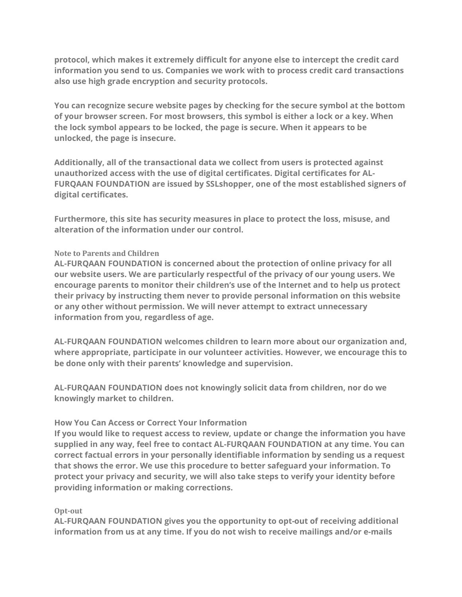protocol, which makes it extremely difficult for anyone else to intercept the credit card information you send to us. Companies we work with to process credit card transactions also use high grade encryption and security protocols.

You can recognize secure website pages by checking for the secure symbol at the bottom of your browser screen. For most browsers, this symbol is either a lock or a key. When the lock symbol appears to be locked, the page is secure. When it appears to be unlocked, the page is insecure.

Additionally, all of the transactional data we collect from users is protected against unauthorized access with the use of digital certificates. Digital certificates for AL-FURQAAN FOUNDATION are issued by SSLshopper, one of the most established signers of digital certificates.

Furthermore, this site has security measures in place to protect the loss, misuse, and alteration of the information under our control.

## Note to Parents and Children

AL-FURQAAN FOUNDATION is concerned about the protection of online privacy for all our website users. We are particularly respectful of the privacy of our young users. We encourage parents to monitor their children's use of the Internet and to help us protect their privacy by instructing them never to provide personal information on this website or any other without permission. We will never attempt to extract unnecessary information from you, regardless of age.

AL-FURQAAN FOUNDATION welcomes children to learn more about our organization and, where appropriate, participate in our volunteer activities. However, we encourage this to be done only with their parents' knowledge and supervision.

AL-FURQAAN FOUNDATION does not knowingly solicit data from children, nor do we knowingly market to children.

## How You Can Access or Correct Your Information

If you would like to request access to review, update or change the information you have supplied in any way, feel free to contact AL-FURQAAN FOUNDATION at any time. You can correct factual errors in your personally identifiable information by sending us a request that shows the error. We use this procedure to better safeguard your information. To protect your privacy and security, we will also take steps to verify your identity before providing information or making corrections.

## Opt-out

AL-FURQAAN FOUNDATION gives you the opportunity to opt-out of receiving additional information from us at any time. If you do not wish to receive mailings and/or e-mails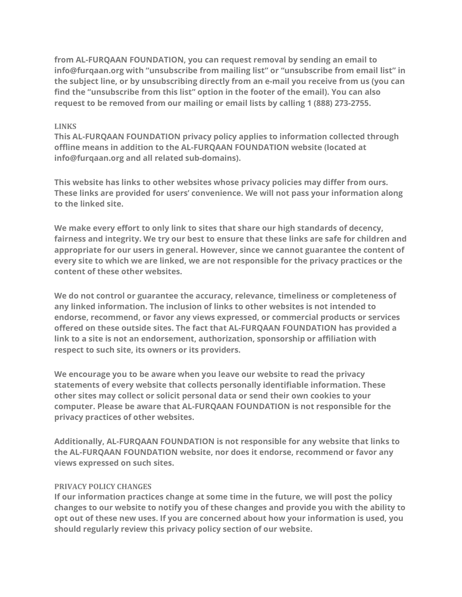from AL-FURQAAN FOUNDATION, you can request removal by sending an email to info@furqaan.org with "unsubscribe from mailing list" or "unsubscribe from email list" in the subject line, or by unsubscribing directly from an e-mail you receive from us (you can find the "unsubscribe from this list" option in the footer of the email). You can also request to be removed from our mailing or email lists by calling 1 (888) 273-2755.

#### LINKS

This AL-FURQAAN FOUNDATION privacy policy applies to information collected through offline means in addition to the AL-FURQAAN FOUNDATION website (located at info@furqaan.org and all related sub-domains).

This website has links to other websites whose privacy policies may differ from ours. These links are provided for users' convenience. We will not pass your information along to the linked site.

We make every effort to only link to sites that share our high standards of decency, fairness and integrity. We try our best to ensure that these links are safe for children and appropriate for our users in general. However, since we cannot guarantee the content of every site to which we are linked, we are not responsible for the privacy practices or the content of these other websites.

We do not control or guarantee the accuracy, relevance, timeliness or completeness of any linked information. The inclusion of links to other websites is not intended to endorse, recommend, or favor any views expressed, or commercial products or services offered on these outside sites. The fact that AL-FURQAAN FOUNDATION has provided a link to a site is not an endorsement, authorization, sponsorship or affiliation with respect to such site, its owners or its providers.

We encourage you to be aware when you leave our website to read the privacy statements of every website that collects personally identifiable information. These other sites may collect or solicit personal data or send their own cookies to your computer. Please be aware that AL-FURQAAN FOUNDATION is not responsible for the privacy practices of other websites.

Additionally, AL-FURQAAN FOUNDATION is not responsible for any website that links to the AL-FURQAAN FOUNDATION website, nor does it endorse, recommend or favor any views expressed on such sites.

## PRIVACY POLICY CHANGES

If our information practices change at some time in the future, we will post the policy changes to our website to notify you of these changes and provide you with the ability to opt out of these new uses. If you are concerned about how your information is used, you should regularly review this privacy policy section of our website.